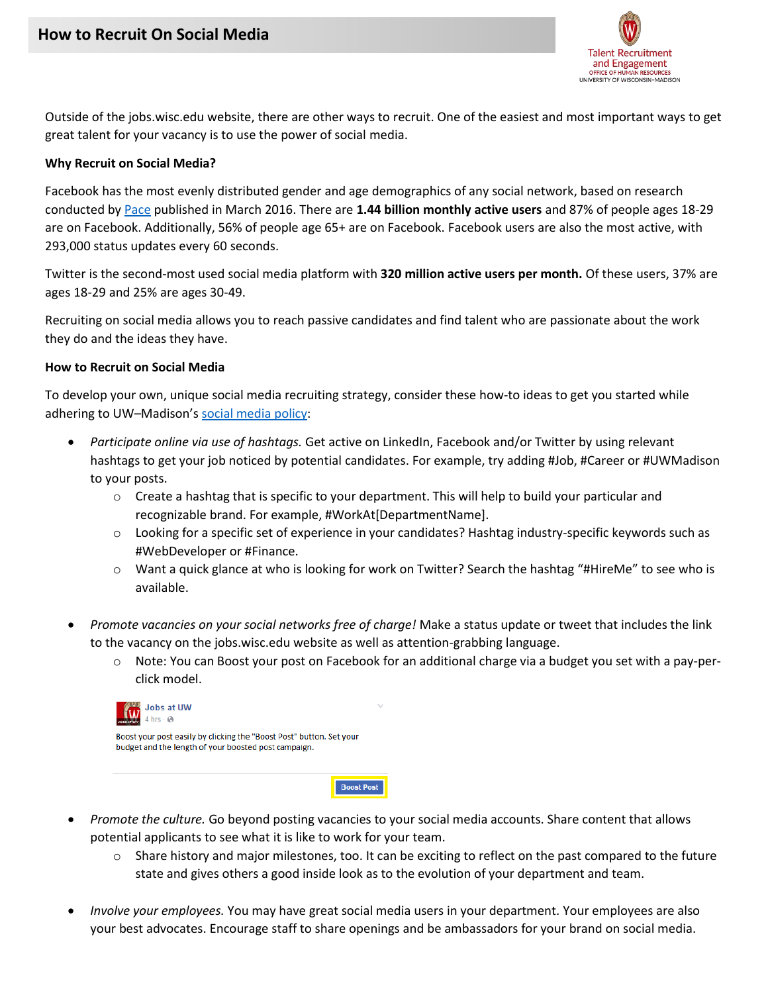

Outside of the jobs.wisc.edu website, there are other ways to recruit. One of the easiest and most important ways to get great talent for your vacancy is to use the power of social media.

## **Why Recruit on Social Media?**

Facebook has the most evenly distributed gender and age demographics of any social network, based on research conducted by [Pace](http://www.paceco.com/insights/social-media/popular-social-media-demographics/) published in March 2016. There are **1.44 billion monthly active users** and 87% of people ages 18-29 are on Facebook. Additionally, 56% of people age 65+ are on Facebook. Facebook users are also the most active, with 293,000 status updates every 60 seconds.

Twitter is the second-most used social media platform with **320 million active users per month.** Of these users, 37% are ages 18-29 and 25% are ages 30-49.

Recruiting on social media allows you to reach passive candidates and find talent who are passionate about the work they do and the ideas they have.

## **How to Recruit on Social Media**

To develop your own, unique social media recruiting strategy, consider these how-to ideas to get you started while adhering to UW–Madison's [social media policy:](https://universityrelations.wisc.edu/policies-and-guidelines/social-media/)

- *Participate online via use of hashtags.* Get active on LinkedIn, Facebook and/or Twitter by using relevant hashtags to get your job noticed by potential candidates. For example, try adding #Job, #Career or #UWMadison to your posts.
	- o Create a hashtag that is specific to your department. This will help to build your particular and recognizable brand. For example, #WorkAt[DepartmentName].
	- o Looking for a specific set of experience in your candidates? Hashtag industry-specific keywords such as #WebDeveloper or #Finance.
	- o Want a quick glance at who is looking for work on Twitter? Search the hashtag "#HireMe" to see who is available.
- *Promote vacancies on your social networks free of charge!* Make a status update or tweet that includes the link to the vacancy on the jobs.wisc.edu website as well as attention-grabbing language.
	- o Note: You can Boost your post on Facebook for an additional charge via a budget you set with a pay-perclick model.



 *Promote the culture.* Go beyond posting vacancies to your social media accounts. Share content that allows potential applicants to see what it is like to work for your team.

**Boost Post** 

- $\circ$  Share history and major milestones, too. It can be exciting to reflect on the past compared to the future state and gives others a good inside look as to the evolution of your department and team.
- *Involve your employees.* You may have great social media users in your department. Your employees are also your best advocates. Encourage staff to share openings and be ambassadors for your brand on social media.